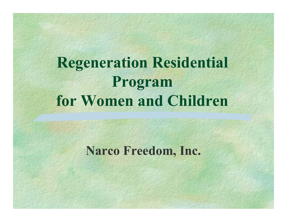# **Regeneration Residential Program for Women and Children**

#### **Narco Freedom, Inc.**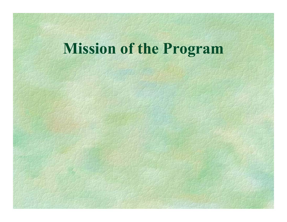# **Mission of the Program**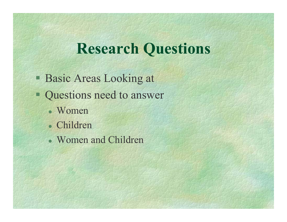#### **Research Questions**

- **Basic Areas Looking at**
- Questions need to answer
	- Women
	- Children
	- Women and Children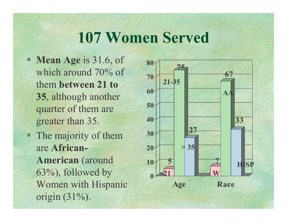# **107 Women Served**

- **Mean Age** is 31.6, of which around 70% of them **bet ween 21 to 35**, although another quarter of them are greater than 35.
- The m ajority of them are **African-American** (around 63%), followed by Wom en with Hispanic origin (31%).

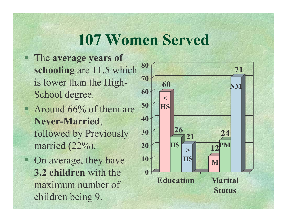# **107 Women Served**

- The **average years of schooling** are 11.5 which is lower than the High-School degree.
- **Around 66% of them are Never-Married**, followed by Previously m arried (22%).
- On average, they have **3.2 children** with the m axim u m number of children being 9.

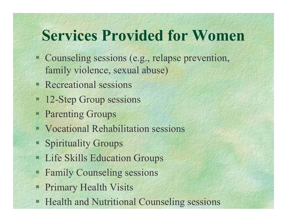# **Services Provided for Women**

- Counseling sessions (e.g., relapse prevention, family violence, sexual abuse)
- **Recreational sessions**
- <sup>12</sup>-Step Group sessions
- **Parenting Groups**
- Vocational Rehabilitation sessions
- **Spirituality Groups**
- **EXECUTE:** Life Skills Education Groups
- Family Counseling sessions
- **Primary Health Visits**
- **EXECUTE: Health and Nutritional Counseling sessions**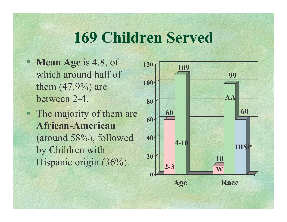# **169 Children Served**

- **Mean Age** is 4.8, of which around half of them  $(47.9%)$  are between 2-4.
- **The majority of them are African-American**(around 58%), followed by Children with Hispanic origin (36%).

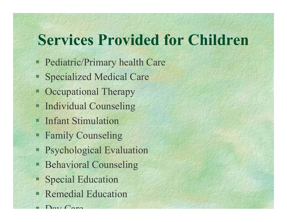# **Services Provided for Children**

- **Pediatric/Primary health Care**
- Specialized Medical Care
- **Occupational Therapy**
- **Individual Counseling**
- **Infant Stimulation**
- **Family Counseling**
- **Psychological Evaluation**
- **Behavioral Counseling**
- **Special Education**
- **Remedial Education**
- $\Gamma$  Day Care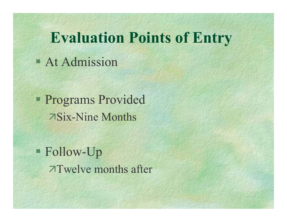### **Evaluation Points of Entry**

**At Admission** 

**Programs Provided** Six-Nine Months

 Follow-Up Twelve months after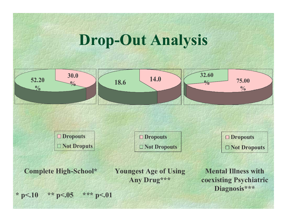# **Drop-Out Analysis**



**OD**ropouts □ Not Droputs

□ Dropouts  $\Box$  Not Dropouts  $\Box$  Dropouts  $\Box$  Not Dropouts

**Complete High-School\*** 

**Youngest Age of Using** Any Drug\*\*\*

**Mental Illness with** coexisting Psychiatric Diagnosis\*\*\*

\*  $p<.10$ \*\*  $p<.05$ \*\*\*  $p<.01$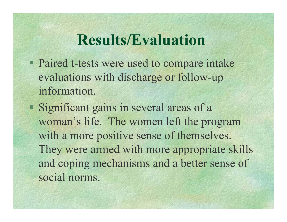#### **Results/Evaluation**

- **Paired t-tests were used to compare intake** evaluations wit h discharge or follow-up information.
- Significant gains in several areas of a woman's life. The women left the program with a more positive sense of themselves. They were armed with more appropriate skills and coping mechanisms and a better sense of social norms.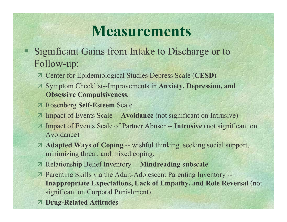### **Measurements**

- Significant Gains from Intake to Discharge or to л Follow-up:
	- 7 Center for Epidemiological Studies Depress Scale (CESD)
	- 7 Symptom Checklist--Improvements in Anxiety, Depression, and **Obsessive Compulsiveness.**
	- **7 Rosenberg Self-Esteem Scale**
	- 7 Impact of Events Scale -- Avoidance (not significant on Intrusive)
	- 7 Impact of Events Scale of Partner Abuser -- Intrusive (not significant on Avoidance)
	- 7 Adapted Ways of Coping -- wishful thinking, seeking social support, minimizing threat, and mixed coping.
	- **7 Relationship Belief Inventory -- Mindreading subscale**
	- 7 Parenting Skills via the Adult-Adolescent Parenting Inventory --**Inappropriate Expectations, Lack of Empathy, and Role Reversal (not** significant on Corporal Punishment)
	- **7 Drug-Related Attitudes**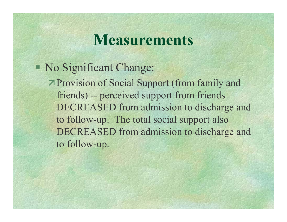#### **Measurements**

#### No Significant Change:

Provision of Social Support (from family and friends) -- perceived support from friends DECREASED from adm ission to discharge and to follow-up. The total socia l support also DECREASED from adm ission to discharge and to follow-up.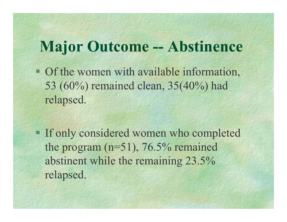### **Major Outcome -- Abstinence**

• Of the women with available information, 5 3 (60%) remained clean, 35(40%) had relapsed.

**If only considered women who completed** the progr am (n=51), 76.5% remained abstinent while the remaining 23.5% relapsed.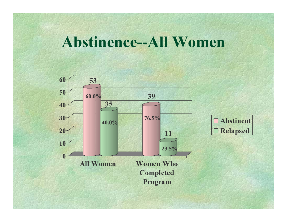#### **Abstinence--All Women**

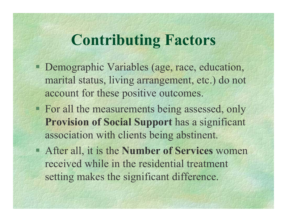# **Contributing Factors**

- **Demographic Variables (age, race, education,** marital status, living arrangement, etc.) do not account for these positive outcomes.
- **For all the measurements being assessed, only Provision of Social Support** has a significant association with clients being abstinent.
- After a ll, it is the **Number of Services** women received while in the residential treatment setting makes the significant differenc e.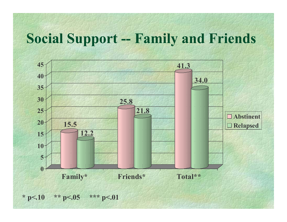#### **Social Support -- Family and Fri ends**



**\* p<.10 \* \* p <.05 \* \* \* p<. 0 1**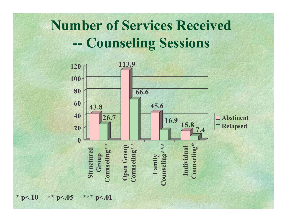### **Number of Services Received Counseling Sessions**



**\* p<.10 \* \* p <.05 \* \* \* p<. 0 1**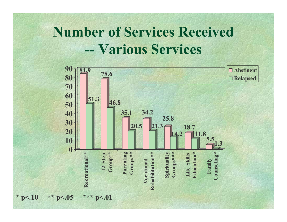#### **Number of Services Received** -- Various Services



\*  $p<.10$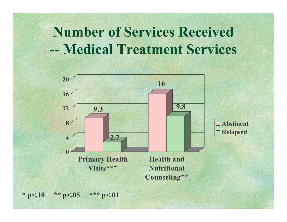### **Number of Services Received** -- Medical Treatment Services



\*\* p<.05 \*\*\* p<.01 \*  $p<.10$